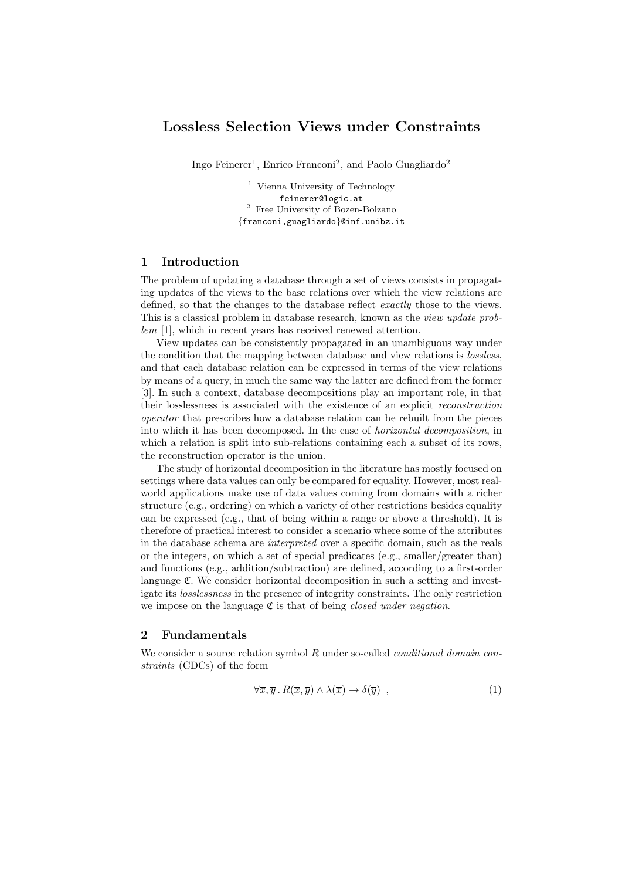# Lossless Selection Views under Constraints

Ingo Feinerer<sup>1</sup>, Enrico Franconi<sup>2</sup>, and Paolo Guagliardo<sup>2</sup>

<sup>1</sup> Vienna University of Technology feinerer@logic.at  $^{\rm 2}$  Free University of Bozen-Bolzano {franconi,guagliardo}@inf.unibz.it

## 1 Introduction

The problem of updating a database through a set of views consists in propagating updates of the views to the base relations over which the view relations are defined, so that the changes to the database reflect *exactly* those to the views. This is a classical problem in database research, known as the *view update prob*lem [1], which in recent years has received renewed attention.

View updates can be consistently propagated in an unambiguous way under the condition that the mapping between database and view relations is lossless, and that each database relation can be expressed in terms of the view relations by means of a query, in much the same way the latter are defined from the former [3]. In such a context, database decompositions play an important role, in that their losslessness is associated with the existence of an explicit reconstruction operator that prescribes how a database relation can be rebuilt from the pieces into which it has been decomposed. In the case of horizontal decomposition, in which a relation is split into sub-relations containing each a subset of its rows, the reconstruction operator is the union.

The study of horizontal decomposition in the literature has mostly focused on settings where data values can only be compared for equality. However, most realworld applications make use of data values coming from domains with a richer structure (e.g., ordering) on which a variety of other restrictions besides equality can be expressed (e.g., that of being within a range or above a threshold). It is therefore of practical interest to consider a scenario where some of the attributes in the database schema are interpreted over a specific domain, such as the reals or the integers, on which a set of special predicates (e.g., smaller/greater than) and functions (e.g., addition/subtraction) are defined, according to a first-order language C. We consider horizontal decomposition in such a setting and investigate its losslessness in the presence of integrity constraints. The only restriction we impose on the language  $\mathfrak C$  is that of being *closed under negation*.

### 2 Fundamentals

We consider a source relation symbol  $R$  under so-called *conditional domain con*straints (CDCs) of the form

$$
\forall \overline{x}, \overline{y} \, . \, R(\overline{x}, \overline{y}) \land \lambda(\overline{x}) \to \delta(\overline{y}) \quad , \tag{1}
$$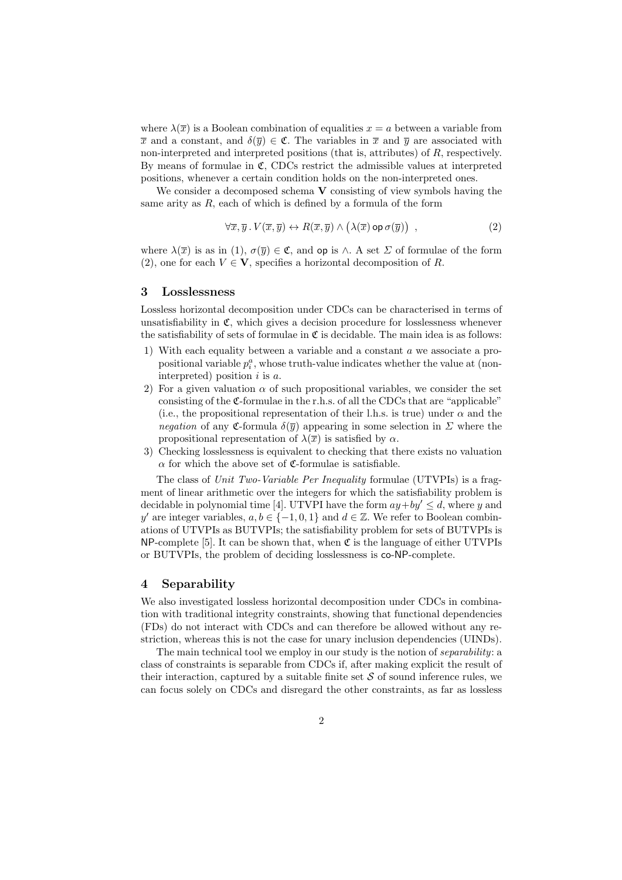where  $\lambda(\overline{x})$  is a Boolean combination of equalities  $x = a$  between a variable from  $\overline{x}$  and a constant, and  $\delta(\overline{y}) \in \mathfrak{C}$ . The variables in  $\overline{x}$  and  $\overline{y}$  are associated with non-interpreted and interpreted positions (that is, attributes) of R, respectively. By means of formulae in  $\mathfrak{C}$ , CDCs restrict the admissible values at interpreted positions, whenever a certain condition holds on the non-interpreted ones.

We consider a decomposed schema  $V$  consisting of view symbols having the same arity as  $R$ , each of which is defined by a formula of the form

$$
\forall \overline{x}, \overline{y} \,.\, V(\overline{x}, \overline{y}) \leftrightarrow R(\overline{x}, \overline{y}) \land (\lambda(\overline{x}) \,\mathsf{op}\,\sigma(\overline{y})) \quad , \tag{2}
$$

where  $\lambda(\overline{x})$  is as in (1),  $\sigma(\overline{y}) \in \mathfrak{C}$ , and op is  $\wedge$ . A set  $\Sigma$  of formulae of the form (2), one for each  $V \in V$ , specifies a horizontal decomposition of R.

#### 3 Losslessness

Lossless horizontal decomposition under CDCs can be characterised in terms of unsatisfiability in  $\mathfrak{C}$ , which gives a decision procedure for losslessness whenever the satisfiability of sets of formulae in  $\mathfrak C$  is decidable. The main idea is as follows:

- 1) With each equality between a variable and a constant a we associate a propositional variable  $p_i^a$ , whose truth-value indicates whether the value at (noninterpreted) position  $i$  is  $a$ .
- 2) For a given valuation  $\alpha$  of such propositional variables, we consider the set consisting of the C-formulae in the r.h.s. of all the CDCs that are "applicable" (i.e., the propositional representation of their l.h.s. is true) under  $\alpha$  and the negation of any C-formula  $\delta(\bar{y})$  appearing in some selection in  $\Sigma$  where the propositional representation of  $\lambda(\overline{x})$  is satisfied by  $\alpha$ .
- 3) Checking losslessness is equivalent to checking that there exists no valuation  $\alpha$  for which the above set of C-formulae is satisfiable.

The class of Unit Two-Variable Per Inequality formulae (UTVPIs) is a fragment of linear arithmetic over the integers for which the satisfiability problem is decidable in polynomial time [4]. UTVPI have the form  $ay+by' \leq d$ , where y and y' are integer variables,  $a, b \in \{-1, 0, 1\}$  and  $d \in \mathbb{Z}$ . We refer to Boolean combinations of UTVPIs as BUTVPIs; the satisfiability problem for sets of BUTVPIs is  $NP$ -complete [5]. It can be shown that, when  $\mathfrak C$  is the language of either UTVPIs or BUTVPIs, the problem of deciding losslessness is co-NP-complete.

## 4 Separability

We also investigated lossless horizontal decomposition under CDCs in combination with traditional integrity constraints, showing that functional dependencies (FDs) do not interact with CDCs and can therefore be allowed without any restriction, whereas this is not the case for unary inclusion dependencies (UINDs).

The main technical tool we employ in our study is the notion of *separability*: a class of constraints is separable from CDCs if, after making explicit the result of their interaction, captured by a suitable finite set  $\mathcal S$  of sound inference rules, we can focus solely on CDCs and disregard the other constraints, as far as lossless